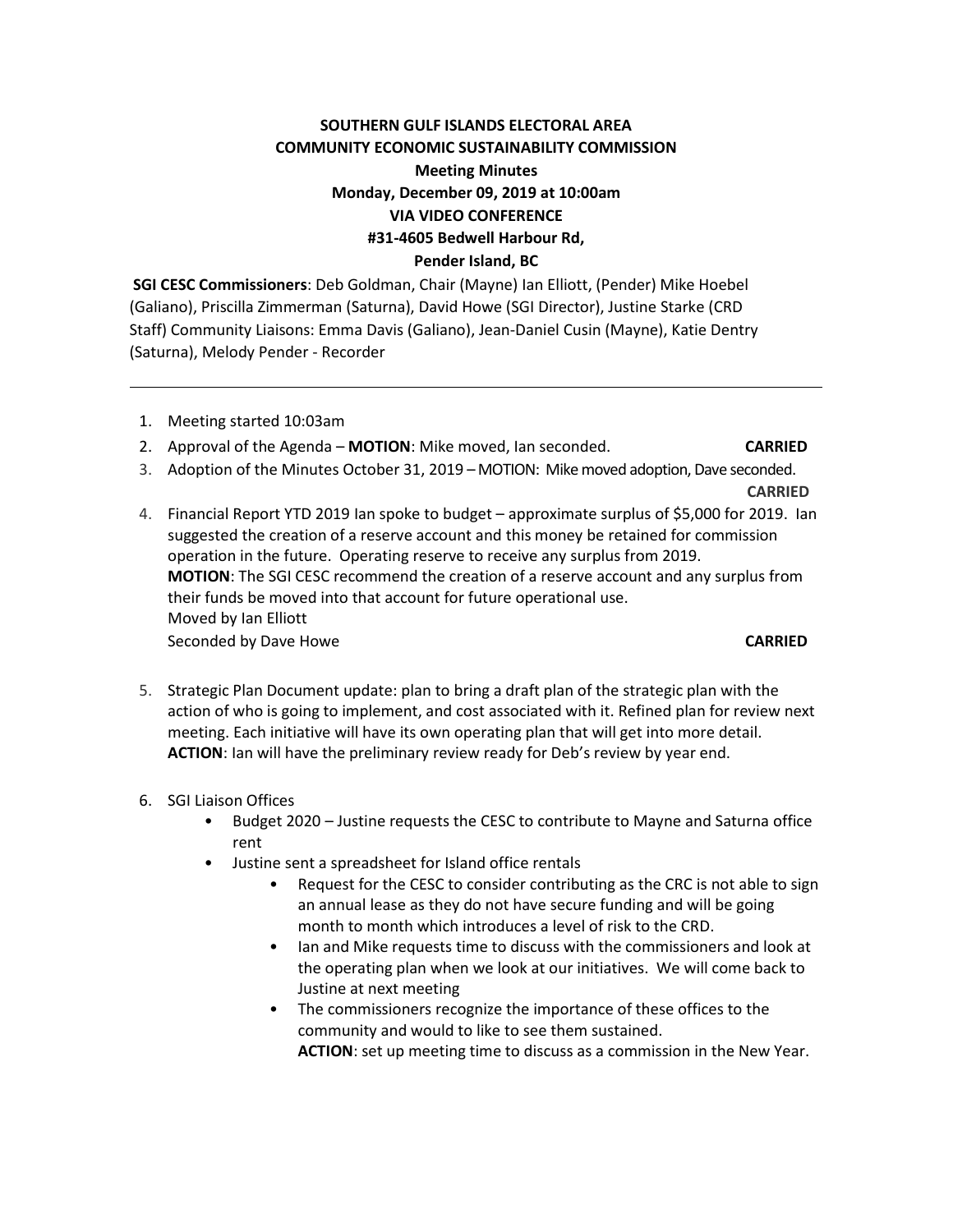# **SOUTHERN GULF ISLANDS ELECTORAL AREA COMMUNITY ECONOMIC SUSTAINABILITY COMMISSION Meeting Minutes Monday, December 09, 2019 at 10:00am VIA VIDEO CONFERENCE #31-4605 Bedwell Harbour Rd, Pender Island, BC**

**SGI CESC Commissioners**: Deb Goldman, Chair (Mayne) Ian Elliott, (Pender) Mike Hoebel (Galiano), Priscilla Zimmerman (Saturna), David Howe (SGI Director), Justine Starke (CRD Staff) Community Liaisons: Emma Davis (Galiano), Jean-Daniel Cusin (Mayne), Katie Dentry (Saturna), Melody Pender - Recorder

- 1. Meeting started 10:03am
- 2. Approval of the Agenda **MOTION**: Mike moved, Ian seconded. **CARRIED**
- 3. Adoption of the Minutes October 31, 2019 MOTION: Mikemoved adoption, Dave seconded.

**CARRIED** 

- 4. Financial Report YTD 2019 Ian spoke to budget approximate surplus of \$5,000 for 2019. Ian suggested the creation of a reserve account and this money be retained for commission operation in the future. Operating reserve to receive any surplus from 2019. **MOTION**: The SGI CESC recommend the creation of a reserve account and any surplus from their funds be moved into that account for future operational use. Moved by Ian Elliott Seconded by Dave Howe **CARRIED**
- 5. Strategic Plan Document update: plan to bring a draft plan of the strategic plan with the action of who is going to implement, and cost associated with it. Refined plan for review next meeting. Each initiative will have its own operating plan that will get into more detail. **ACTION**: Ian will have the preliminary review ready for Deb's review by year end.
- 6. SGI Liaison Offices
	- Budget 2020 Justine requests the CESC to contribute to Mayne and Saturna office rent
	- Justine sent a spreadsheet for Island office rentals
		- Request for the CESC to consider contributing as the CRC is not able to sign an annual lease as they do not have secure funding and will be going month to month which introduces a level of risk to the CRD.
		- Ian and Mike requests time to discuss with the commissioners and look at the operating plan when we look at our initiatives. We will come back to Justine at next meeting
		- The commissioners recognize the importance of these offices to the community and would to like to see them sustained.

**ACTION**: set up meeting time to discuss as a commission in the New Year.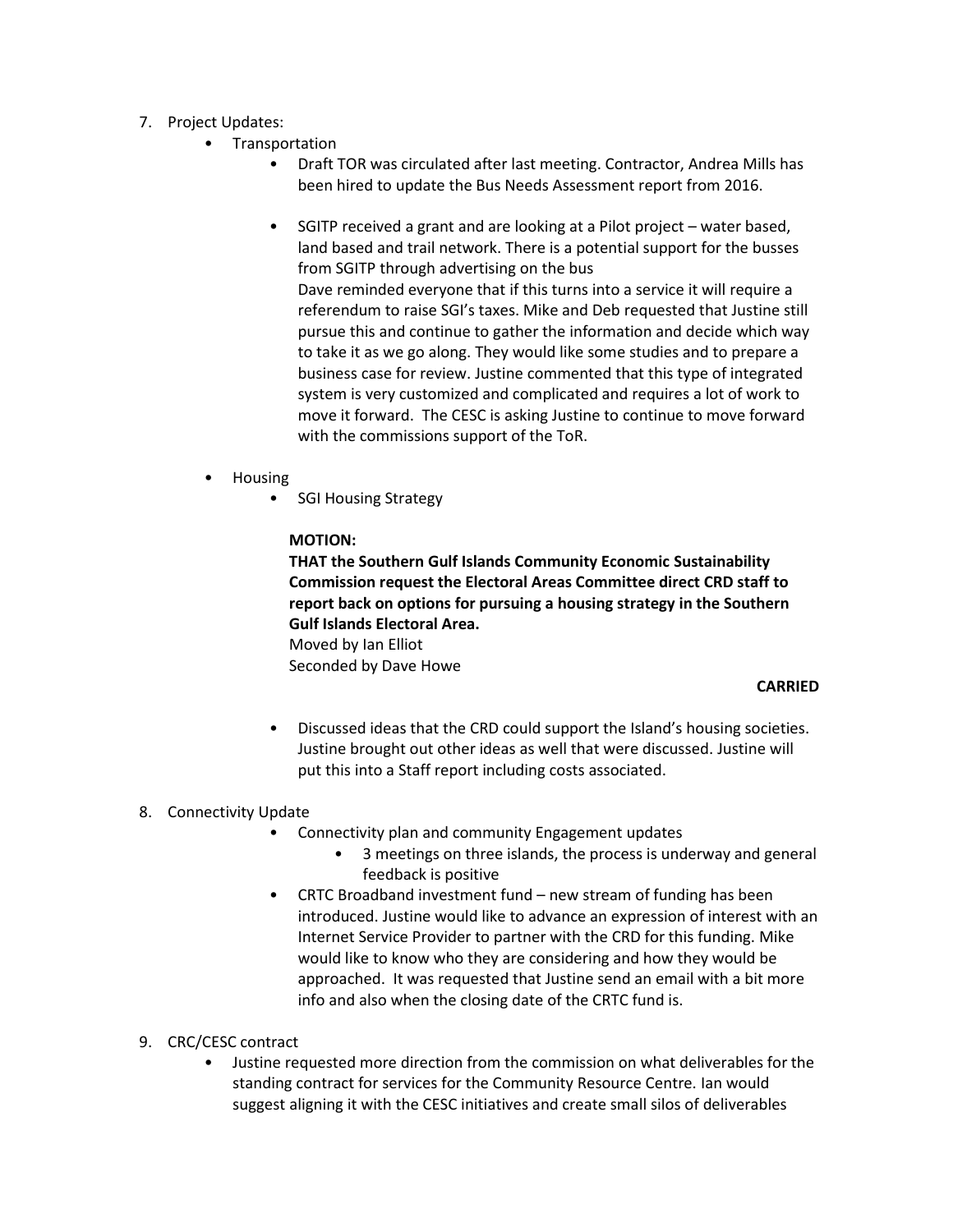- 7. Project Updates:
	- Transportation
		- Draft TOR was circulated after last meeting. Contractor, Andrea Mills has been hired to update the Bus Needs Assessment report from 2016.
		- SGITP received a grant and are looking at a Pilot project water based, land based and trail network. There is a potential support for the busses from SGITP through advertising on the bus

Dave reminded everyone that if this turns into a service it will require a referendum to raise SGI's taxes. Mike and Deb requested that Justine still pursue this and continue to gather the information and decide which way to take it as we go along. They would like some studies and to prepare a business case for review. Justine commented that this type of integrated system is very customized and complicated and requires a lot of work to move it forward. The CESC is asking Justine to continue to move forward with the commissions support of the ToR.

- Housing
	- SGI Housing Strategy

### **MOTION:**

**THAT the Southern Gulf Islands Community Economic Sustainability Commission request the Electoral Areas Committee direct CRD staff to report back on options for pursuing a housing strategy in the Southern Gulf Islands Electoral Area.**

Moved by Ian Elliot Seconded by Dave Howe

### **CARRIED**

• Discussed ideas that the CRD could support the Island's housing societies. Justine brought out other ideas as well that were discussed. Justine will put this into a Staff report including costs associated.

### 8. Connectivity Update

- Connectivity plan and community Engagement updates
	- 3 meetings on three islands, the process is underway and general feedback is positive
- CRTC Broadband investment fund new stream of funding has been introduced. Justine would like to advance an expression of interest with an Internet Service Provider to partner with the CRD for this funding. Mike would like to know who they are considering and how they would be approached. It was requested that Justine send an email with a bit more info and also when the closing date of the CRTC fund is.

## 9. CRC/CESC contract

• Justine requested more direction from the commission on what deliverables for the standing contract for services for the Community Resource Centre. Ian would suggest aligning it with the CESC initiatives and create small silos of deliverables